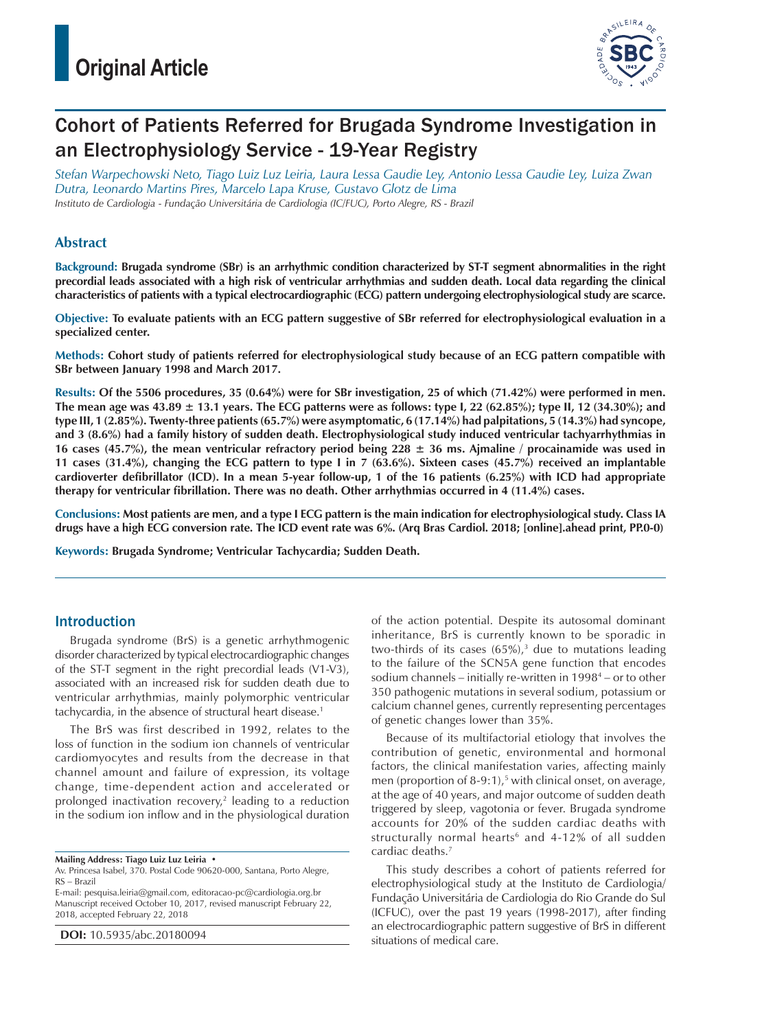

# Cohort of Patients Referred for Brugada Syndrome Investigation in an Electrophysiology Service - 19-Year Registry

*Stefan Warpechowski Neto, Tiago Luiz Luz Leiria, Laura Lessa Gaudie Ley, Antonio Lessa Gaudie Ley, Luiza Zwan Dutra, Leonardo Martins Pires, Marcelo Lapa Kruse, Gustavo Glotz de Lima Instituto de Cardiologia - Fundação Universitária de Cardiologia (IC/FUC), Porto Alegre, RS - Brazil*

## **Abstract**

**Background: Brugada syndrome (SBr) is an arrhythmic condition characterized by ST-T segment abnormalities in the right precordial leads associated with a high risk of ventricular arrhythmias and sudden death. Local data regarding the clinical characteristics of patients with a typical electrocardiographic (ECG) pattern undergoing electrophysiological study are scarce.**

**Objective: To evaluate patients with an ECG pattern suggestive of SBr referred for electrophysiological evaluation in a specialized center.**

**Methods: Cohort study of patients referred for electrophysiological study because of an ECG pattern compatible with SBr between January 1998 and March 2017.**

**Results: Of the 5506 procedures, 35 (0.64%) were for SBr investigation, 25 of which (71.42%) were performed in men. The mean age was 43.89 ± 13.1 years. The ECG patterns were as follows: type I, 22 (62.85%); type II, 12 (34.30%); and type III, 1 (2.85%). Twenty-three patients (65.7%) were asymptomatic, 6 (17.14%) had palpitations, 5 (14.3%) had syncope, and 3 (8.6%) had a family history of sudden death. Electrophysiological study induced ventricular tachyarrhythmias in 16 cases (45.7%), the mean ventricular refractory period being 228 ± 36 ms. Ajmaline / procainamide was used in 11 cases (31.4%), changing the ECG pattern to type I in 7 (63.6%). Sixteen cases (45.7%) received an implantable cardioverter defibrillator (ICD). In a mean 5-year follow-up, 1 of the 16 patients (6.25%) with ICD had appropriate therapy for ventricular fibrillation. There was no death. Other arrhythmias occurred in 4 (11.4%) cases.**

**Conclusions: Most patients are men, and a type I ECG pattern is the main indication for electrophysiological study. Class IA drugs have a high ECG conversion rate. The ICD event rate was 6%. (Arq Bras Cardiol. 2018; [online].ahead print, PP.0-0)**

**Keywords: Brugada Syndrome; Ventricular Tachycardia; Sudden Death.**

## Introduction

Brugada syndrome (BrS) is a genetic arrhythmogenic disorder characterized by typical electrocardiographic changes of the ST-T segment in the right precordial leads (V1-V3), associated with an increased risk for sudden death due to ventricular arrhythmias, mainly polymorphic ventricular tachycardia, in the absence of structural heart disease.1

The BrS was first described in 1992, relates to the loss of function in the sodium ion channels of ventricular cardiomyocytes and results from the decrease in that channel amount and failure of expression, its voltage change, time-dependent action and accelerated or prolonged inactivation recovery,2 leading to a reduction in the sodium ion inflow and in the physiological duration

E-mail: pesquisa.leiria@gmail.com, editoracao-pc@cardiologia.org.br Manuscript received October 10, 2017, revised manuscript February 22, 2018, accepted February 22, 2018

**DOI:** 10.5935/abc.20180094

of the action potential. Despite its autosomal dominant inheritance, BrS is currently known to be sporadic in two-thirds of its cases  $(65\%)$ ,<sup>3</sup> due to mutations leading to the failure of the SCN5A gene function that encodes sodium channels – initially re-written in 1998<sup>4</sup> – or to other 350 pathogenic mutations in several sodium, potassium or calcium channel genes, currently representing percentages of genetic changes lower than 35%.

Because of its multifactorial etiology that involves the contribution of genetic, environmental and hormonal factors, the clinical manifestation varies, affecting mainly men (proportion of 8-9:1),<sup>5</sup> with clinical onset, on average, at the age of 40 years, and major outcome of sudden death triggered by sleep, vagotonia or fever. Brugada syndrome accounts for 20% of the sudden cardiac deaths with structurally normal hearts<sup>6</sup> and  $4-12\%$  of all sudden cardiac deaths.7

This study describes a cohort of patients referred for electrophysiological study at the Instituto de Cardiologia/ Fundação Universitária de Cardiologia do Rio Grande do Sul (ICFUC), over the past 19 years (1998-2017), after finding an electrocardiographic pattern suggestive of BrS in different situations of medical care.

**Mailing Address: Tiago Luiz Luz Leiria •**

Av. Princesa Isabel, 370. Postal Code 90620-000, Santana, Porto Alegre, RS – Brazil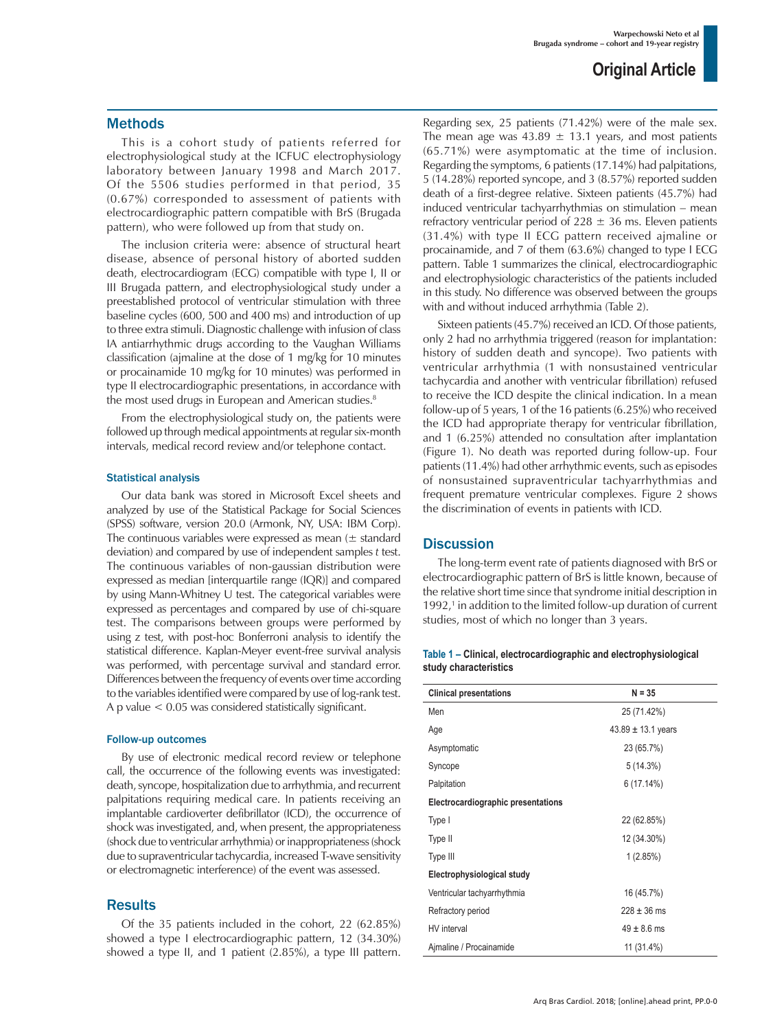## Methods

This is a cohort study of patients referred for electrophysiological study at the ICFUC electrophysiology laboratory between January 1998 and March 2017. Of the 5506 studies performed in that period, 35 (0.67%) corresponded to assessment of patients with electrocardiographic pattern compatible with BrS (Brugada pattern), who were followed up from that study on.

The inclusion criteria were: absence of structural heart disease, absence of personal history of aborted sudden death, electrocardiogram (ECG) compatible with type I, II or III Brugada pattern, and electrophysiological study under a preestablished protocol of ventricular stimulation with three baseline cycles (600, 500 and 400 ms) and introduction of up to three extra stimuli. Diagnostic challenge with infusion of class IA antiarrhythmic drugs according to the Vaughan Williams classification (ajmaline at the dose of 1 mg/kg for 10 minutes or procainamide 10 mg/kg for 10 minutes) was performed in type II electrocardiographic presentations, in accordance with the most used drugs in European and American studies.<sup>8</sup>

From the electrophysiological study on, the patients were followed up through medical appointments at regular six-month intervals, medical record review and/or telephone contact.

#### Statistical analysis

Our data bank was stored in Microsoft Excel sheets and analyzed by use of the Statistical Package for Social Sciences (SPSS) software, version 20.0 (Armonk, NY, USA: IBM Corp). The continuous variables were expressed as mean  $(\pm$  standard deviation) and compared by use of independent samples *t* test. The continuous variables of non-gaussian distribution were expressed as median [interquartile range (IQR)] and compared by using Mann-Whitney U test. The categorical variables were expressed as percentages and compared by use of chi-square test. The comparisons between groups were performed by using z test, with post-hoc Bonferroni analysis to identify the statistical difference. Kaplan-Meyer event-free survival analysis was performed, with percentage survival and standard error. Differences between the frequency of events over time according to the variables identified were compared by use of log-rank test. A p value < 0.05 was considered statistically significant.

#### Follow-up outcomes

By use of electronic medical record review or telephone call, the occurrence of the following events was investigated: death, syncope, hospitalization due to arrhythmia, and recurrent palpitations requiring medical care. In patients receiving an implantable cardioverter defibrillator (ICD), the occurrence of shock was investigated, and, when present, the appropriateness (shock due to ventricular arrhythmia) or inappropriateness (shock due to supraventricular tachycardia, increased T-wave sensitivity or electromagnetic interference) of the event was assessed.

### **Results**

Of the 35 patients included in the cohort, 22 (62.85%) showed a type I electrocardiographic pattern, 12 (34.30%) showed a type II, and 1 patient (2.85%), a type III pattern.

Regarding sex, 25 patients (71.42%) were of the male sex. The mean age was  $43.89 \pm 13.1$  years, and most patients (65.71%) were asymptomatic at the time of inclusion. Regarding the symptoms, 6 patients (17.14%) had palpitations, 5 (14.28%) reported syncope, and 3 (8.57%) reported sudden death of a first-degree relative. Sixteen patients (45.7%) had induced ventricular tachyarrhythmias on stimulation – mean refractory ventricular period of  $228 \pm 36$  ms. Eleven patients (31.4%) with type II ECG pattern received ajmaline or procainamide, and 7 of them (63.6%) changed to type I ECG pattern. Table 1 summarizes the clinical, electrocardiographic and electrophysiologic characteristics of the patients included in this study. No difference was observed between the groups with and without induced arrhythmia (Table 2).

Sixteen patients (45.7%) received an ICD. Of those patients, only 2 had no arrhythmia triggered (reason for implantation: history of sudden death and syncope). Two patients with ventricular arrhythmia (1 with nonsustained ventricular tachycardia and another with ventricular fibrillation) refused to receive the ICD despite the clinical indication. In a mean follow-up of 5 years, 1 of the 16 patients (6.25%) who received the ICD had appropriate therapy for ventricular fibrillation, and 1 (6.25%) attended no consultation after implantation (Figure 1). No death was reported during follow-up. Four patients (11.4%) had other arrhythmic events, such as episodes of nonsustained supraventricular tachyarrhythmias and frequent premature ventricular complexes. Figure 2 shows the discrimination of events in patients with ICD.

### **Discussion**

The long-term event rate of patients diagnosed with BrS or electrocardiographic pattern of BrS is little known, because of the relative short time since that syndrome initial description in 1992,<sup>1</sup> in addition to the limited follow-up duration of current studies, most of which no longer than 3 years.

#### **Table 1 – Clinical, electrocardiographic and electrophysiological study characteristics**

| <b>Clinical presentations</b>      | $N = 35$               |  |  |
|------------------------------------|------------------------|--|--|
| Men                                | 25 (71.42%)            |  |  |
| Age                                | $43.89 \pm 13.1$ years |  |  |
| Asymptomatic                       | 23 (65.7%)             |  |  |
| Syncope                            | 5(14.3%)               |  |  |
| Palpitation                        | 6(17.14%)              |  |  |
| Electrocardiographic presentations |                        |  |  |
| Type I                             | 22 (62.85%)            |  |  |
| Type II                            | 12 (34.30%)            |  |  |
| Type III                           | 1(2.85%)               |  |  |
| Electrophysiological study         |                        |  |  |
| Ventricular tachyarrhythmia        | 16 (45.7%)             |  |  |
| Refractory period                  | $228 \pm 36$ ms        |  |  |
| HV interval                        | $49 \pm 8.6$ ms        |  |  |
| Ajmaline / Procainamide            | 11 (31.4%)             |  |  |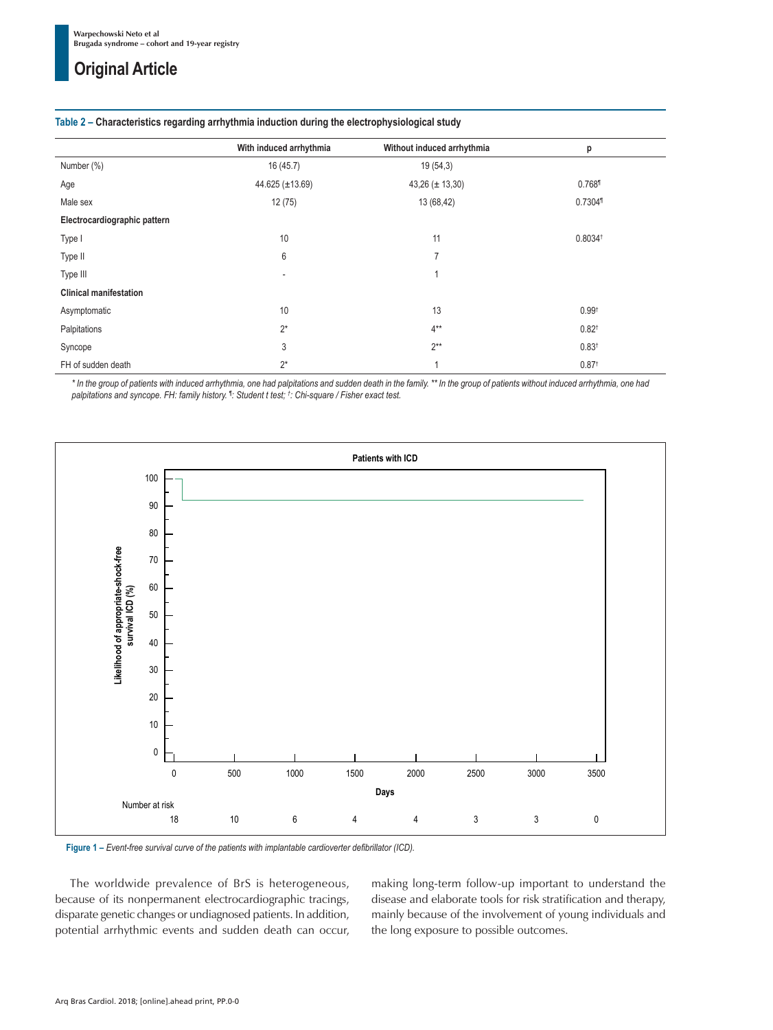## **Original Article**

| Table Z – Unaracteristics regarding arrhythmia induction during the electrophysiological study |                         |                            |                       |
|------------------------------------------------------------------------------------------------|-------------------------|----------------------------|-----------------------|
|                                                                                                | With induced arrhythmia | Without induced arrhythmia | р                     |
| Number (%)                                                                                     | 16(45.7)                | 19(54,3)                   |                       |
| Age                                                                                            | 44.625 ( $\pm$ 13.69)   | $43,26 (\pm 13,30)$        | 0.7681                |
| Male sex                                                                                       | 12(75)                  | 13 (68,42)                 | 0.7304                |
| Electrocardiographic pattern                                                                   |                         |                            |                       |
| Type I                                                                                         | 10                      | 11                         | $0.8034$ <sup>t</sup> |
| Type II                                                                                        | 6                       | $\overline{7}$             |                       |
| Type III                                                                                       |                         |                            |                       |
| <b>Clinical manifestation</b>                                                                  |                         |                            |                       |
| Asymptomatic                                                                                   | 10                      | 13                         | 0.99 <sup>†</sup>     |
| Palpitations                                                                                   | $2^*$                   | $4**$                      | $0.82^{\dagger}$      |
| Syncope                                                                                        | 3                       | $2***$                     | 0.83 <sup>†</sup>     |
| FH of sudden death                                                                             | $2^*$                   |                            | 0.87 <sup>†</sup>     |

**Table 2 – Characteristics regarding arrhythmia induction during the electrophysiological study**

*\* In the group of patients with induced arrhythmia, one had palpitations and sudden death in the family. \*\* In the group of patients without induced arrhythmia, one had palpitations and syncope. FH: family history. ¶ : Student t test; † : Chi-square / Fisher exact test.*



**Figure 1 –** *Event-free survival curve of the patients with implantable cardioverter defibrillator (ICD).*

The worldwide prevalence of BrS is heterogeneous, because of its nonpermanent electrocardiographic tracings, disparate genetic changes or undiagnosed patients. In addition, potential arrhythmic events and sudden death can occur, making long-term follow-up important to understand the disease and elaborate tools for risk stratification and therapy, mainly because of the involvement of young individuals and the long exposure to possible outcomes.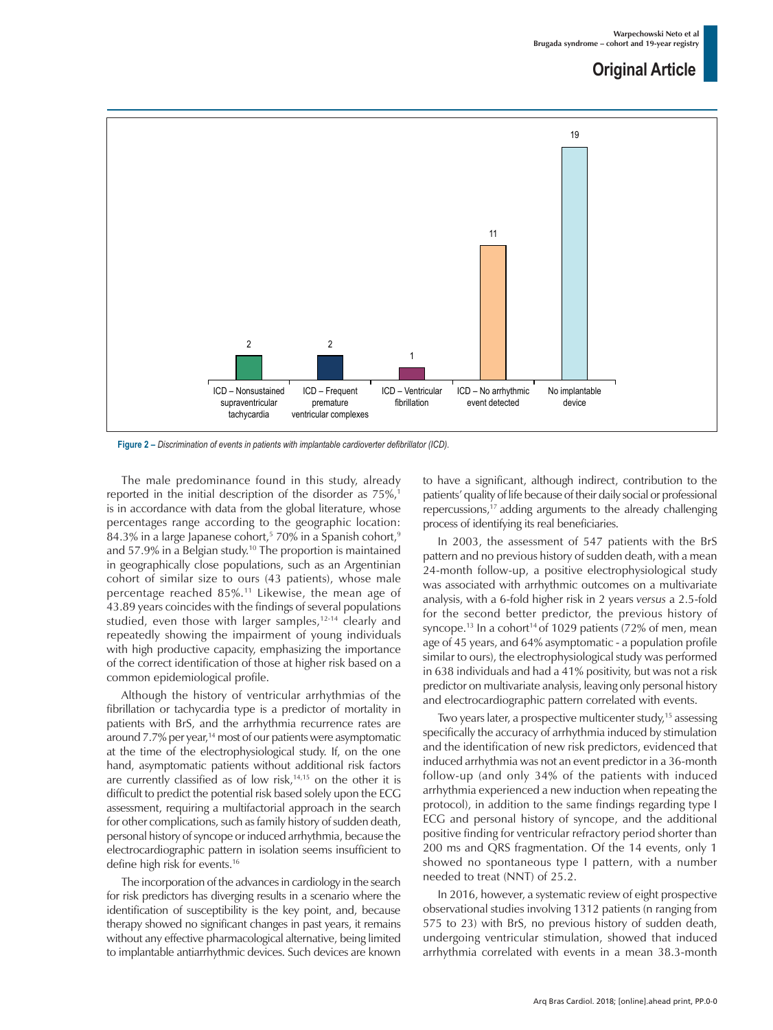## **Original Article**



**Figure 2 –** *Discrimination of events in patients with implantable cardioverter defibrillator (ICD).*

The male predominance found in this study, already reported in the initial description of the disorder as 75%,<sup>1</sup> is in accordance with data from the global literature, whose percentages range according to the geographic location: 84.3% in a large Japanese cohort,<sup>5</sup> 70% in a Spanish cohort,<sup>9</sup> and 57.9% in a Belgian study.<sup>10</sup> The proportion is maintained in geographically close populations, such as an Argentinian cohort of similar size to ours (43 patients), whose male percentage reached 85%.11 Likewise, the mean age of 43.89 years coincides with the findings of several populations studied, even those with larger samples, $12-14$  clearly and repeatedly showing the impairment of young individuals with high productive capacity, emphasizing the importance of the correct identification of those at higher risk based on a common epidemiological profile.

Although the history of ventricular arrhythmias of the fibrillation or tachycardia type is a predictor of mortality in patients with BrS, and the arrhythmia recurrence rates are around 7.7% per year,<sup>14</sup> most of our patients were asymptomatic at the time of the electrophysiological study. If, on the one hand, asymptomatic patients without additional risk factors are currently classified as of low risk, $14,15$  on the other it is difficult to predict the potential risk based solely upon the ECG assessment, requiring a multifactorial approach in the search for other complications, such as family history of sudden death, personal history of syncope or induced arrhythmia, because the electrocardiographic pattern in isolation seems insufficient to define high risk for events.16

The incorporation of the advances in cardiology in the search for risk predictors has diverging results in a scenario where the identification of susceptibility is the key point, and, because therapy showed no significant changes in past years, it remains without any effective pharmacological alternative, being limited to implantable antiarrhythmic devices. Such devices are known to have a significant, although indirect, contribution to the patients' quality of life because of their daily social or professional repercussions,17 adding arguments to the already challenging process of identifying its real beneficiaries.

In 2003, the assessment of 547 patients with the BrS pattern and no previous history of sudden death, with a mean 24-month follow-up, a positive electrophysiological study was associated with arrhythmic outcomes on a multivariate analysis, with a 6-fold higher risk in 2 years *versus* a 2.5-fold for the second better predictor, the previous history of syncope.<sup>13</sup> In a cohort<sup>14</sup> of 1029 patients (72% of men, mean age of 45 years, and 64% asymptomatic - a population profile similar to ours), the electrophysiological study was performed in 638 individuals and had a 41% positivity, but was not a risk predictor on multivariate analysis, leaving only personal history and electrocardiographic pattern correlated with events.

Two years later, a prospective multicenter study,<sup>15</sup> assessing specifically the accuracy of arrhythmia induced by stimulation and the identification of new risk predictors, evidenced that induced arrhythmia was not an event predictor in a 36-month follow-up (and only 34% of the patients with induced arrhythmia experienced a new induction when repeating the protocol), in addition to the same findings regarding type I ECG and personal history of syncope, and the additional positive finding for ventricular refractory period shorter than 200 ms and QRS fragmentation. Of the 14 events, only 1 showed no spontaneous type I pattern, with a number needed to treat (NNT) of 25.2.

In 2016, however, a systematic review of eight prospective observational studies involving 1312 patients (n ranging from 575 to 23) with BrS, no previous history of sudden death, undergoing ventricular stimulation, showed that induced arrhythmia correlated with events in a mean 38.3-month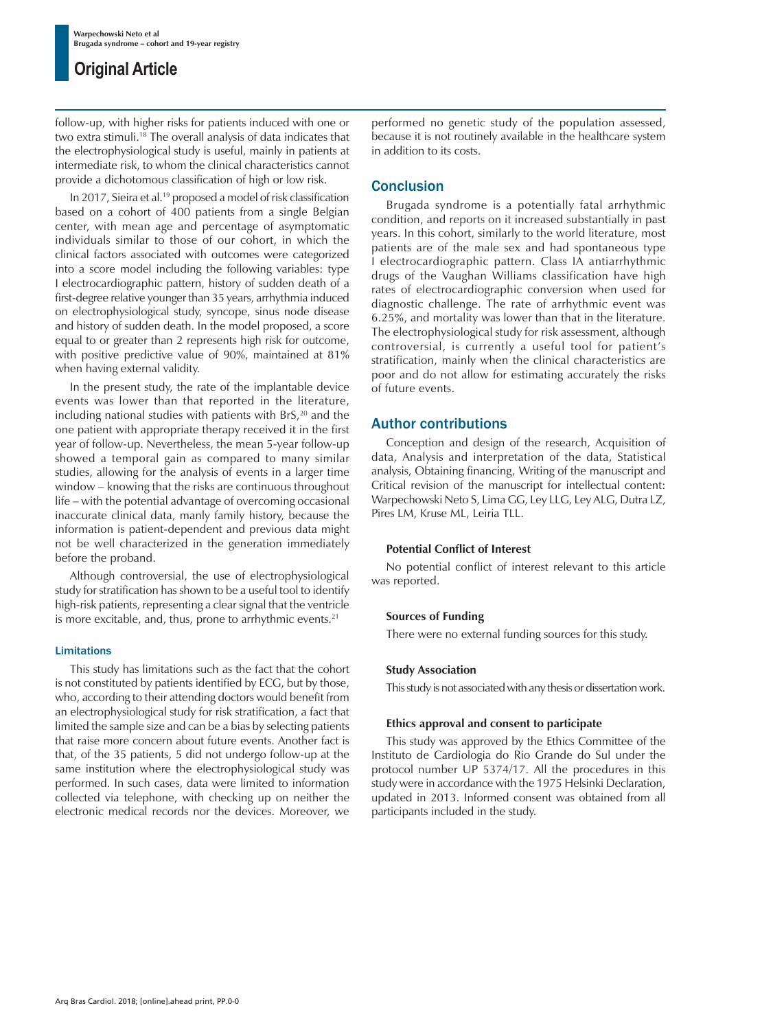## **Original Article**

follow-up, with higher risks for patients induced with one or two extra stimuli.18 The overall analysis of data indicates that the electrophysiological study is useful, mainly in patients at intermediate risk, to whom the clinical characteristics cannot provide a dichotomous classification of high or low risk.

In 2017, Sieira et al.19 proposed a model of risk classification based on a cohort of 400 patients from a single Belgian center, with mean age and percentage of asymptomatic individuals similar to those of our cohort, in which the clinical factors associated with outcomes were categorized into a score model including the following variables: type I electrocardiographic pattern, history of sudden death of a first-degree relative younger than 35 years, arrhythmia induced on electrophysiological study, syncope, sinus node disease and history of sudden death. In the model proposed, a score equal to or greater than 2 represents high risk for outcome, with positive predictive value of 90%, maintained at 81% when having external validity.

In the present study, the rate of the implantable device events was lower than that reported in the literature, including national studies with patients with BrS, $20$  and the one patient with appropriate therapy received it in the first year of follow-up. Nevertheless, the mean 5-year follow-up showed a temporal gain as compared to many similar studies, allowing for the analysis of events in a larger time window – knowing that the risks are continuous throughout life – with the potential advantage of overcoming occasional inaccurate clinical data, manly family history, because the information is patient-dependent and previous data might not be well characterized in the generation immediately before the proband.

Although controversial, the use of electrophysiological study for stratification has shown to be a useful tool to identify high-risk patients, representing a clear signal that the ventricle is more excitable, and, thus, prone to arrhythmic events.<sup>21</sup>

### Limitations

This study has limitations such as the fact that the cohort is not constituted by patients identified by ECG, but by those, who, according to their attending doctors would benefit from an electrophysiological study for risk stratification, a fact that limited the sample size and can be a bias by selecting patients that raise more concern about future events. Another fact is that, of the 35 patients, 5 did not undergo follow-up at the same institution where the electrophysiological study was performed. In such cases, data were limited to information collected via telephone, with checking up on neither the electronic medical records nor the devices. Moreover, we

performed no genetic study of the population assessed, because it is not routinely available in the healthcare system in addition to its costs.

## **Conclusion**

Brugada syndrome is a potentially fatal arrhythmic condition, and reports on it increased substantially in past years. In this cohort, similarly to the world literature, most patients are of the male sex and had spontaneous type I electrocardiographic pattern. Class IA antiarrhythmic drugs of the Vaughan Williams classification have high rates of electrocardiographic conversion when used for diagnostic challenge. The rate of arrhythmic event was 6.25%, and mortality was lower than that in the literature. The electrophysiological study for risk assessment, although controversial, is currently a useful tool for patient's stratification, mainly when the clinical characteristics are poor and do not allow for estimating accurately the risks of future events.

## Author contributions

Conception and design of the research, Acquisition of data, Analysis and interpretation of the data, Statistical analysis, Obtaining financing, Writing of the manuscript and Critical revision of the manuscript for intellectual content: Warpechowski Neto S, Lima GG, Ley LLG, Ley ALG, Dutra LZ, Pires LM, Kruse ML, Leiria TLL.

### **Potential Conflict of Interest**

No potential conflict of interest relevant to this article was reported.

### **Sources of Funding**

There were no external funding sources for this study.

### **Study Association**

This study is not associated with any thesis or dissertation work.

### **Ethics approval and consent to participate**

This study was approved by the Ethics Committee of the Instituto de Cardiologia do Rio Grande do Sul under the protocol number UP 5374/17. All the procedures in this study were in accordance with the 1975 Helsinki Declaration, updated in 2013. Informed consent was obtained from all participants included in the study.